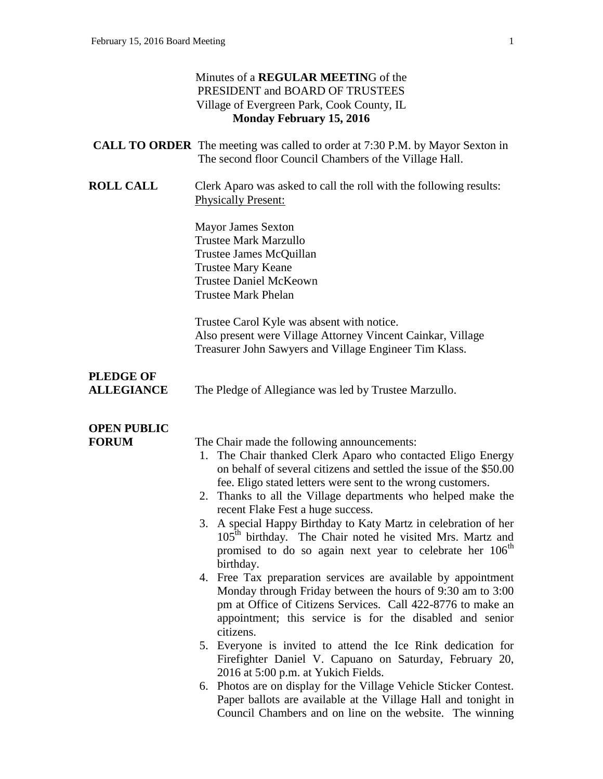|                                       | Minutes of a <b>REGULAR MEETING</b> of the<br>PRESIDENT and BOARD OF TRUSTEES<br>Village of Evergreen Park, Cook County, IL<br><b>Monday February 15, 2016</b>                                                                                                        |
|---------------------------------------|-----------------------------------------------------------------------------------------------------------------------------------------------------------------------------------------------------------------------------------------------------------------------|
|                                       | <b>CALL TO ORDER</b> The meeting was called to order at 7:30 P.M. by Mayor Sexton in<br>The second floor Council Chambers of the Village Hall.                                                                                                                        |
| <b>ROLL CALL</b>                      | Clerk Aparo was asked to call the roll with the following results:<br><b>Physically Present:</b>                                                                                                                                                                      |
|                                       | <b>Mayor James Sexton</b><br><b>Trustee Mark Marzullo</b><br>Trustee James McQuillan<br><b>Trustee Mary Keane</b><br><b>Trustee Daniel McKeown</b><br><b>Trustee Mark Phelan</b>                                                                                      |
|                                       | Trustee Carol Kyle was absent with notice.<br>Also present were Village Attorney Vincent Cainkar, Village<br>Treasurer John Sawyers and Village Engineer Tim Klass.                                                                                                   |
| <b>PLEDGE OF</b><br><b>ALLEGIANCE</b> | The Pledge of Allegiance was led by Trustee Marzullo.                                                                                                                                                                                                                 |
| <b>OPEN PUBLIC</b>                    |                                                                                                                                                                                                                                                                       |
| <b>FORUM</b>                          | The Chair made the following announcements:                                                                                                                                                                                                                           |
|                                       | The Chair thanked Clerk Aparo who contacted Eligo Energy<br>1.<br>on behalf of several citizens and settled the issue of the \$50.00<br>fee. Eligo stated letters were sent to the wrong customers.                                                                   |
|                                       | 2. Thanks to all the Village departments who helped make the                                                                                                                                                                                                          |
|                                       | recent Flake Fest a huge success.<br>A special Happy Birthday to Katy Martz in celebration of her<br>3.<br>105 <sup>th</sup> birthday. The Chair noted he visited Mrs. Martz and<br>promised to do so again next year to celebrate her 106 <sup>th</sup><br>birthday. |
|                                       | 4. Free Tax preparation services are available by appointment<br>Monday through Friday between the hours of 9:30 am to 3:00<br>pm at Office of Citizens Services. Call 422-8776 to make an<br>appointment; this service is for the disabled and senior<br>citizens.   |
|                                       | 5. Everyone is invited to attend the Ice Rink dedication for<br>Firefighter Daniel V. Capuano on Saturday, February 20,<br>2016 at 5:00 p.m. at Yukich Fields.                                                                                                        |
|                                       | 6. Photos are on display for the Village Vehicle Sticker Contest.<br>Paper ballots are available at the Village Hall and tonight in<br>Council Chambers and on line on the website. The winning                                                                       |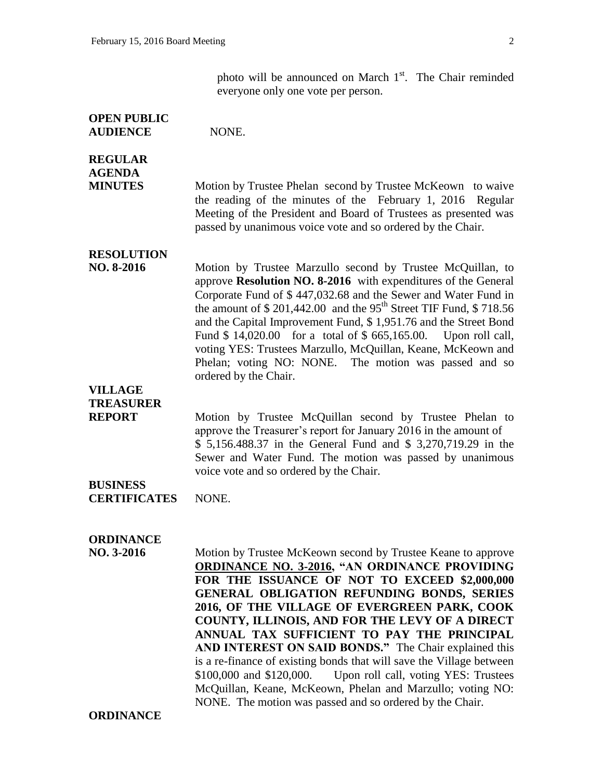photo will be announced on March  $1<sup>st</sup>$ . The Chair reminded everyone only one vote per person.

## **OPEN PUBLIC AUDIENCE** NONE.

# **REGULAR AGENDA**

**MINUTES** Motion by Trustee Phelan second by Trustee McKeown to waive the reading of the minutes of the February 1, 2016 Regular Meeting of the President and Board of Trustees as presented was passed by unanimous voice vote and so ordered by the Chair.

**RESOLUTION** 

**NO. 8-2016** Motion by Trustee Marzullo second by Trustee McQuillan, to approve **Resolution NO. 8-2016** with expenditures of the General Corporate Fund of \$ 447,032.68 and the Sewer and Water Fund in the amount of  $$ 201,442.00$  and the  $95<sup>th</sup>$  Street TIF Fund,  $$ 718.56$ and the Capital Improvement Fund, \$ 1,951.76 and the Street Bond Fund \$14,020.00 for a total of \$665,165.00. Upon roll call, voting YES: Trustees Marzullo, McQuillan, Keane, McKeown and Phelan; voting NO: NONE. The motion was passed and so ordered by the Chair.

**VILLAGE TREASURER** 

**REPORT** Motion by Trustee McQuillan second by Trustee Phelan to approve the Treasurer's report for January 2016 in the amount of \$ 5,156.488.37 in the General Fund and \$ 3,270,719.29 in the Sewer and Water Fund. The motion was passed by unanimous voice vote and so ordered by the Chair.

#### **BUSINESS CERTIFICATES** NONE.

## **ORDINANCE**

**NO. 3-2016** Motion by Trustee McKeown second by Trustee Keane to approve **ORDINANCE NO. 3-2016, "AN ORDINANCE PROVIDING FOR THE ISSUANCE OF NOT TO EXCEED \$2,000,000 GENERAL OBLIGATION REFUNDING BONDS, SERIES 2016, OF THE VILLAGE OF EVERGREEN PARK, COOK COUNTY, ILLINOIS, AND FOR THE LEVY OF A DIRECT ANNUAL TAX SUFFICIENT TO PAY THE PRINCIPAL AND INTEREST ON SAID BONDS."** The Chair explained this is a re-finance of existing bonds that will save the Village between \$100,000 and \$120,000. Upon roll call, voting YES: Trustees McQuillan, Keane, McKeown, Phelan and Marzullo; voting NO: NONE. The motion was passed and so ordered by the Chair.

**ORDINANCE**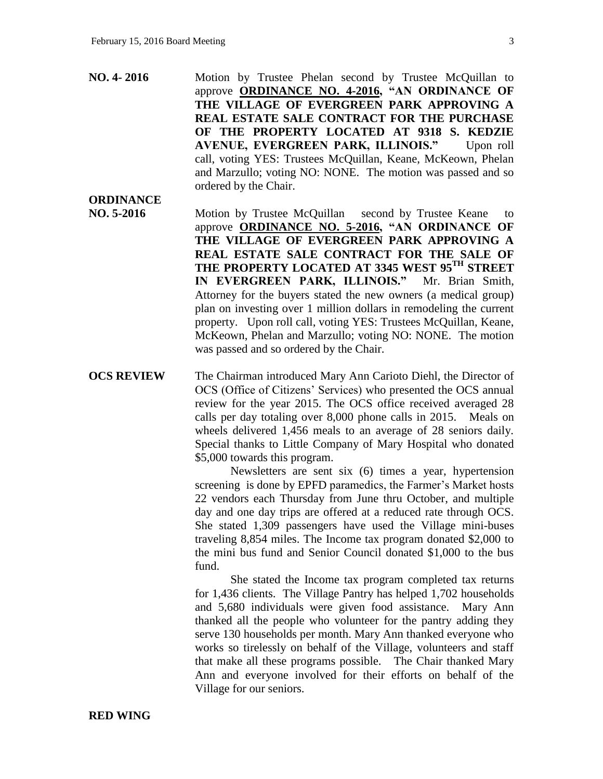**ORDINANCE**

- **NO. 4- 2016** Motion by Trustee Phelan second by Trustee McQuillan to approve **ORDINANCE NO. 4-2016, "AN ORDINANCE OF THE VILLAGE OF EVERGREEN PARK APPROVING A REAL ESTATE SALE CONTRACT FOR THE PURCHASE OF THE PROPERTY LOCATED AT 9318 S. KEDZIE**  AVENUE, EVERGREEN PARK, ILLINOIS." Upon roll call, voting YES: Trustees McQuillan, Keane, McKeown, Phelan and Marzullo; voting NO: NONE. The motion was passed and so ordered by the Chair.
- **NO. 5-2016** Motion by Trustee McQuillan second by Trustee Keane to approve **ORDINANCE NO. 5-2016, "AN ORDINANCE OF THE VILLAGE OF EVERGREEN PARK APPROVING A REAL ESTATE SALE CONTRACT FOR THE SALE OF THE PROPERTY LOCATED AT 3345 WEST 95TH STREET IN EVERGREEN PARK, ILLINOIS."** Mr. Brian Smith, Attorney for the buyers stated the new owners (a medical group) plan on investing over 1 million dollars in remodeling the current property. Upon roll call, voting YES: Trustees McQuillan, Keane, McKeown, Phelan and Marzullo; voting NO: NONE. The motion was passed and so ordered by the Chair.
- **OCS REVIEW** The Chairman introduced Mary Ann Carioto Diehl, the Director of OCS (Office of Citizens' Services) who presented the OCS annual review for the year 2015. The OCS office received averaged 28 calls per day totaling over 8,000 phone calls in 2015. Meals on wheels delivered 1,456 meals to an average of 28 seniors daily. Special thanks to Little Company of Mary Hospital who donated \$5,000 towards this program.

Newsletters are sent six (6) times a year, hypertension screening is done by EPFD paramedics, the Farmer's Market hosts 22 vendors each Thursday from June thru October, and multiple day and one day trips are offered at a reduced rate through OCS. She stated 1,309 passengers have used the Village mini-buses traveling 8,854 miles. The Income tax program donated \$2,000 to the mini bus fund and Senior Council donated \$1,000 to the bus fund.

She stated the Income tax program completed tax returns for 1,436 clients. The Village Pantry has helped 1,702 households and 5,680 individuals were given food assistance. Mary Ann thanked all the people who volunteer for the pantry adding they serve 130 households per month. Mary Ann thanked everyone who works so tirelessly on behalf of the Village, volunteers and staff that make all these programs possible. The Chair thanked Mary Ann and everyone involved for their efforts on behalf of the Village for our seniors.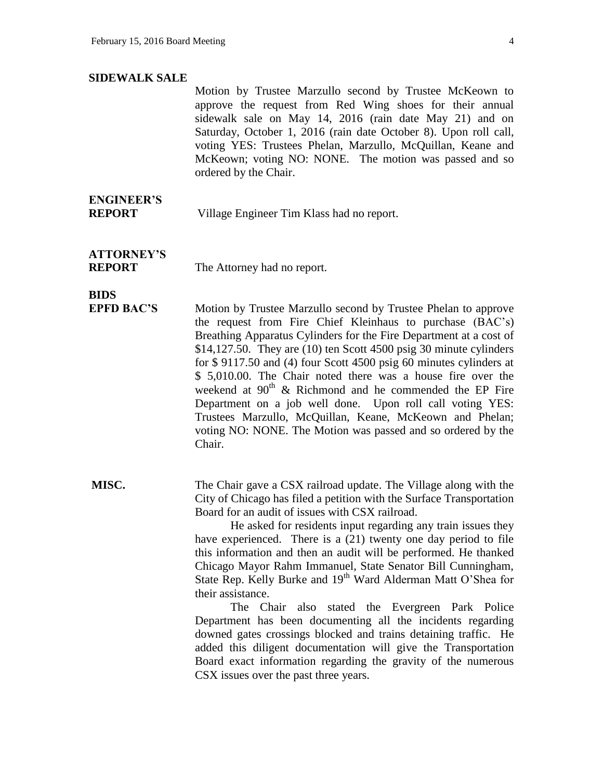#### **SIDEWALK SALE**

Motion by Trustee Marzullo second by Trustee McKeown to approve the request from Red Wing shoes for their annual sidewalk sale on May 14, 2016 (rain date May 21) and on Saturday, October 1, 2016 (rain date October 8). Upon roll call, voting YES: Trustees Phelan, Marzullo, McQuillan, Keane and McKeown; voting NO: NONE. The motion was passed and so ordered by the Chair.

# **ENGINEER'S**

**REPORT** Village Engineer Tim Klass had no report.

**ATTORNEY'S** 

**REPORT** The Attorney had no report.

## **BIDS**

**EPFD BAC'S** Motion by Trustee Marzullo second by Trustee Phelan to approve the request from Fire Chief Kleinhaus to purchase (BAC's) Breathing Apparatus Cylinders for the Fire Department at a cost of \$14,127.50. They are (10) ten Scott 4500 psig 30 minute cylinders for \$ 9117.50 and (4) four Scott 4500 psig 60 minutes cylinders at \$ 5,010.00. The Chair noted there was a house fire over the weekend at  $90<sup>th</sup>$  & Richmond and he commended the EP Fire Department on a job well done. Upon roll call voting YES: Trustees Marzullo, McQuillan, Keane, McKeown and Phelan; voting NO: NONE. The Motion was passed and so ordered by the Chair.

**MISC.** The Chair gave a CSX railroad update. The Village along with the City of Chicago has filed a petition with the Surface Transportation Board for an audit of issues with CSX railroad.

> He asked for residents input regarding any train issues they have experienced. There is a (21) twenty one day period to file this information and then an audit will be performed. He thanked Chicago Mayor Rahm Immanuel, State Senator Bill Cunningham, State Rep. Kelly Burke and 19<sup>th</sup> Ward Alderman Matt O'Shea for their assistance.

> The Chair also stated the Evergreen Park Police Department has been documenting all the incidents regarding downed gates crossings blocked and trains detaining traffic. He added this diligent documentation will give the Transportation Board exact information regarding the gravity of the numerous CSX issues over the past three years.